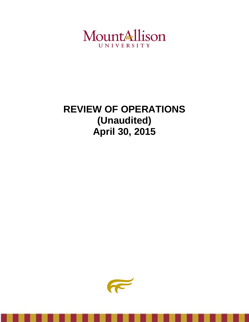

# **REVIEW OF OPERATIONS (Unaudited) April 30, 2015**

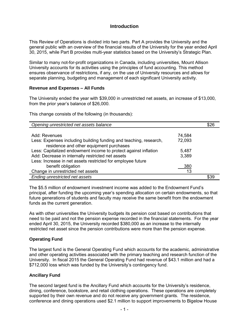## **Introduction**

This Review of Operations is divided into two parts. Part A provides the University and the general public with an overview of the financial results of the University for the year ended April 30, 2015, while Part B provides multi-year statistics based on the University's Strategic Plan.

Similar to many not-for-profit organizations in Canada, including universities, Mount Allison University accounts for its activities using the principles of fund accounting. This method ensures observance of restrictions, if any, on the use of University resources and allows for separate planning, budgeting and management of each significant University activity.

#### **Revenue and Expenses – All Funds**

The University ended the year with \$39,000 in unrestricted net assets, an increase of \$13,000, from the prior year's balance of \$26,000.

This change consists of the following (in thousands):

| Opening unrestricted net assets balance                           |        | \$26 |
|-------------------------------------------------------------------|--------|------|
|                                                                   |        |      |
| Add: Revenues                                                     | 74,584 |      |
| Less: Expenses including building funding and teaching, research, | 72,093 |      |
| residence and other equipment purchases                           |        |      |
| Less: Capitalized endowment income to protect against inflation   | 5,487  |      |
| Add: Decrease in internally restricted net assets                 | 3,389  |      |
| Less: Increase in net assets restricted for employee future       |        |      |
| benefit obligation                                                | 380    |      |
| Change in unrestricted net assets                                 | 13     |      |
| Ending unrestricted net assets                                    |        | \$39 |

The \$5.5 million of endowment investment income was added to the Endowment Fund's principal, after funding the upcoming year's spending allocation on certain endowments, so that future generations of students and faculty may receive the same benefit from the endowment funds as the current generation.

As with other universities the University budgets its pension cost based on contributions that need to be paid and not the pension expense recorded in the financial statements. For the year ended April 30, 2015, the University recorded \$380,000 as an increase to the internally restricted net asset since the pension contributions were more than the pension expense.

#### **Operating Fund**

The largest fund is the General Operating Fund which accounts for the academic, administrative and other operating activities associated with the primary teaching and research function of the University. In fiscal 2015 the General Operating Fund had revenue of \$43.1 million and had a \$712,000 loss which was funded by the University's contingency fund.

#### **Ancillary Fund**

The second largest fund is the Ancillary Fund which accounts for the University's residence, dining, conference, bookstore, and retail clothing operations. These operations are completely supported by their own revenue and do not receive any government grants. The residence, conference and dining operations used \$2.1 million to support improvements to Bigelow House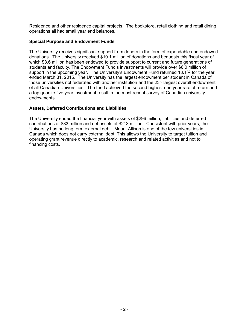Residence and other residence capital projects. The bookstore, retail clothing and retail dining operations all had small year end balances.

#### **Special Purpose and Endowment Funds**

The University receives significant support from donors in the form of expendable and endowed donations. The University received \$10.1 million of donations and bequests this fiscal year of which \$8.6 million has been endowed to provide support to current and future generations of students and faculty. The Endowment Fund's investments will provide over \$6.0 million of support in the upcoming year. The University's Endowment Fund returned 18.1% for the year ended March 31, 2015. The University has the largest endowment per student in Canada of those universities not federated with another institution and the  $23<sup>rd</sup>$  largest overall endowment of all Canadian Universities. The fund achieved the second highest one year rate of return and a top quartile five year investment result in the most recent survey of Canadian university endowments.

#### **Assets, Deferred Contributions and Liabilities**

The University ended the financial year with assets of \$296 million, liabilities and deferred contributions of \$83 million and net assets of \$213 million. Consistent with prior years, the University has no long term external debt. Mount Allison is one of the few universities in Canada which does not carry external debt. This allows the University to target tuition and operating grant revenue directly to academic, research and related activities and not to financing costs.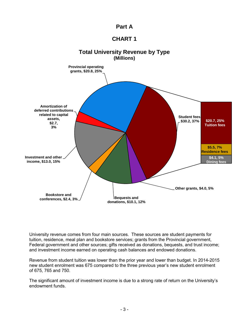

# **CHART 1**



University revenue comes from four main sources. These sources are student payments for tuition, residence, meal plan and bookstore services; grants from the Provincial government, Federal government and other sources; gifts received as donations, bequests, and trust income; and investment income earned on operating cash balances and endowed donations.

Revenue from student tuition was lower than the prior year and lower than budget. In 2014-2015 new student enrolment was 675 compared to the three previous year's new student enrolment of 675, 765 and 750.

The significant amount of investment income is due to a strong rate of return on the University's endowment funds.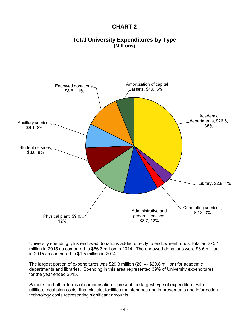# **CHART 2**

# **Total University Expenditures by Type (Millions)**



University spending, plus endowed donations added directly to endowment funds, totalled \$75.1 million in 2015 as compared to \$66.3 million in 2014. The endowed donations were \$8.6 million in 2015 as compared to \$1.5 million in 2014.

The largest portion of expenditures was \$29.3 million (2014- \$29.8 million) for academic departments and libraries. Spending in this area represented 39% of University expenditures for the year ended 2015.

Salaries and other forms of compensation represent the largest type of expenditure, with utilities, meal plan costs, financial aid, facilities maintenance and improvements and information technology costs representing significant amounts.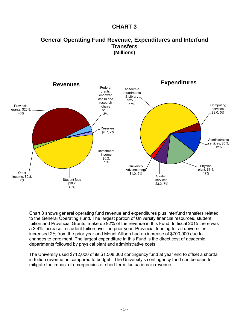# **CHART 3**

# **General Operating Fund Revenue, Expenditures and Interfund Transfers (Millions)**



Chart 3 shows general operating fund revenue and expenditures plus interfund transfers related to the General Operating Fund. The largest portion of University financial resources, student tuition and Provincial Grants, make up 92% of the revenue in this Fund. In fiscal 2015 there was a 3.4% increase in student tuition over the prior year. Provincial funding for all universities increased 2% from the prior year and Mount Allison had an increase of \$700,000 due to changes to enrolment. The largest expenditure in this Fund is the direct cost of academic departments followed by physical plant and administrative costs.

The University used \$712,000 of its \$1,508,000 contingency fund at year end to offset a shortfall in tuition revenue as compared to budget. The University's contingency fund can be used to mitigate the impact of emergencies or short term fluctuations in revenue.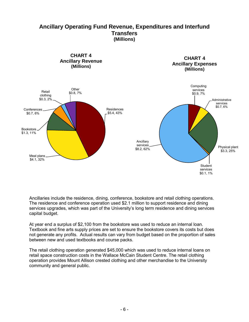# **Ancillary Operating Fund Revenue, Expenditures and Interfund Transfers (Millions)**



Ancillaries include the residence, dining, conference, bookstore and retail clothing operations. The residence and conference operation used \$2.1 million to support residence and dining services upgrades, which was part of the University's long term residence and dining services capital budget.

At year end a surplus of \$2,100 from the bookstore was used to reduce an internal loan. Textbook and fine arts supply prices are set to ensure the bookstore covers its costs but does not generate any profits. Actual results can vary from budget based on the proportion of sales between new and used textbooks and course packs.

The retail clothing operation generated \$45,000 which was used to reduce internal loans on retail space construction costs in the Wallace McCain Student Centre. The retail clothing operation provides Mount Allison crested clothing and other merchandise to the University community and general public.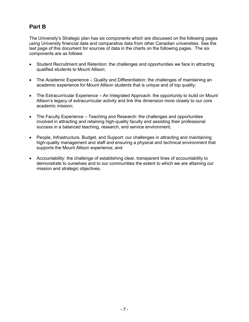# **Part B**

The University's Strategic plan has six components which are discussed on the following pages using University financial data and comparative data from other Canadian universities. See the last page of this document for sources of data in the charts on the following pages. The six components are as follows:

- Student Recruitment and Retention: the challenges and opportunities we face in attracting qualified students to Mount Allison;
- The Academic Experience Quality and Differentiation: the challenges of maintaining an academic experience for Mount Allison students that is unique and of top quality;
- The Extracurricular Experience An Integrated Approach: the opportunity to build on Mount Allison's legacy of extracurricular activity and link this dimension more closely to our core academic mission;
- The Faculty Experience Teaching and Research: the challenges and opportunities involved in attracting and retaining high-quality faculty and assisting their professional success in a balanced teaching, research, and service environment;
- People, Infrastructure, Budget, and Support: our challenges in attracting and maintaining high-quality management and staff and ensuring a physical and technical environment that supports the Mount Allison experience; and
- Accountability: the challenge of establishing clear, transparent lines of accountability to demonstrate to ourselves and to our communities the extent to which we are attaining our mission and strategic objectives.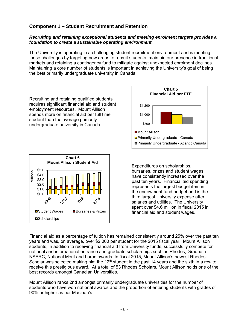## **Component 1 – Student Recruitment and Retention**

#### *Recruiting and retaining exceptional students and meeting enrolment targets provides a foundation to create a sustainable operating environment.*

The University is operating in a challenging student recruitment environment and is meeting those challenges by targeting new areas to recruit students, maintain our presence in traditional markets and retaining a contingency fund to mitigate against unexpected enrolment declines. Maintaining a core number of students is important in achieving the University's goal of being the best primarily undergraduate university in Canada.

Recruiting and retaining qualified students requires significant financial aid and student employment resources. Mount Allison spends more on financial aid per full time student than the average primarily undergraduate university in Canada.





Expenditures on scholarships, bursaries, prizes and student wages have consistently increased over the past ten years. Financial aid spending represents the largest budget item in the endowment fund budget and is the third largest University expense after salaries and utilities. The University spent over \$4.6 million in fiscal 2015 in financial aid and student wages.

Financial aid as a percentage of tuition has remained consistently around 25% over the past ten years and was, on average, over \$2,000 per student for the 2015 fiscal year. Mount Allison students, in addition to receiving financial aid from University funds, successfully compete for national and international entrance and graduate scholarships such as Rhodes, Graduate NSERC, National Merit and Loran awards. In fiscal 2015, Mount Allison's newest Rhodes Scholar was selected making him the  $12<sup>th</sup>$  student in the past 14 years and the sixth in a row to receive this prestigious award. At a total of 53 Rhodes Scholars, Mount Allison holds one of the best records amongst Canadian Universities.

Mount Allison ranks 2nd amongst primarily undergraduate universities for the number of students who have won national awards and the proportion of entering students with grades of 90% or higher as per Maclean's.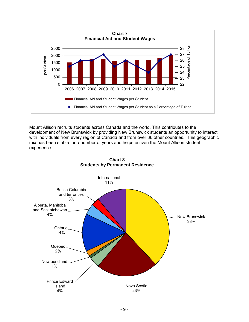

Mount Allison recruits students across Canada and the world. This contributes to the development of New Brunswick by providing New Brunswick students an opportunity to interact with individuals from every region of Canada and from over 36 other countries. This geographic mix has been stable for a number of years and helps enliven the Mount Allison student experience.



**Chart 8 Students by Permanent Residence**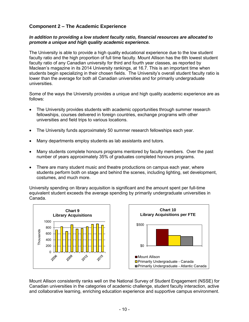# **Component 2 – The Academic Experience**

#### *In addition to providing a low student faculty ratio, financial resources are allocated to promote a unique and high quality academic experience.*

The University is able to provide a high quality educational experience due to the low student faculty ratio and the high proportion of full time faculty. Mount Allison has the 6th lowest student faculty ratio of any Canadian university for third and fourth year classes, as reported by Maclean's magazine in its 2014 University rankings, at 16.7. This is an important time when students begin specializing in their chosen fields. The University's overall student faculty ratio is lower than the average for both all Canadian universities and for primarily undergraduate universities.

Some of the ways the University provides a unique and high quality academic experience are as follows:

- The University provides students with academic opportunities through summer research fellowships, courses delivered in foreign countries, exchange programs with other universities and field trips to various locations.
- The University funds approximately 50 summer research fellowships each year.
- Many departments employ students as lab assistants and tutors.
- Many students complete honours programs mentored by faculty members. Over the past number of years approximately 35% of graduates completed honours programs.
- There are many student music and theatre productions on campus each year, where students perform both on stage and behind the scenes, including lighting, set development, costumes, and much more.

University spending on library acquisition is significant and the amount spent per full-time equivalent student exceeds the average spending by primarily undergraduate universities in Canada.



Mount Allison consistently ranks well on the National Survey of Student Engagement (NSSE) for Canadian universities in the categories of academic challenge, student faculty interaction, active and collaborative learning, enriching education experience and supportive campus environment.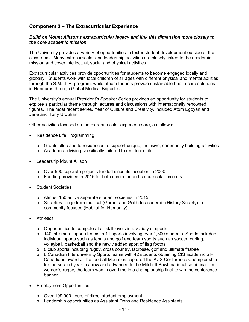## **Component 3 – The Extracurricular Experience**

#### *Build on Mount Allison's extracurricular legacy and link this dimension more closely to the core academic mission.*

The University provides a variety of opportunities to foster student development outside of the classroom. Many extracurricular and leadership activities are closely linked to the academic mission and cover intellectual, social and physical activities.

Extracurricular activities provide opportunities for students to become engaged locally and globally. Students work with local children of all ages with different physical and mental abilities through the S.M.I.L.E. program, while other students provide sustainable health care solutions in Honduras through Global Medical Brigades.

The University's annual President's Speaker Series provides an opportunity for students to explore a particular theme through lectures and discussions with internationally renowned figures. The most recent series, Year of Culture and Creativity, included Atom Egoyan and Jane and Tony Urquhart.

Other activities focused on the extracurricular experience are, as follows:

- Residence Life Programming
	- o Grants allocated to residences to support unique, inclusive, community building activities
	- o Academic advising specifically tailored to residence life
- Leadership Mount Allison
	- o Over 500 separate projects funded since its inception in 2000
	- o Funding provided in 2015 for both curricular and co-curricular projects
- Student Societies
	- o Almost 150 active separate student societies in 2015
	- o Societies range from musical (Garnet and Gold) to academic (History Society) to community focused (Habitat for Humanity)
- Athletics
	- o Opportunities to compete at all skill levels in a variety of sports
	- o 140 intramural sports teams in 11 sports involving over 1,300 students. Sports included individual sports such as tennis and golf and team sports such as soccer, curling, volleyball, basketball and the newly added sport of flag football
	- o 8 club sports including rugby, cross country, lacrosse, golf and ultimate frisbee
	- o 6 Canadian Interuniversity Sports teams with 42 students obtaining CIS academic all-Canadians awards. The football Mounties captured the AUS Conference Championship for the second year in a row and advanced to the Mitchell Bowl, national semi-final. In women's rugby, the team won in overtime in a championship final to win the conference banner.
- Employment Opportunities
	- o Over 109,000 hours of direct student employment
	- o Leadership opportunities as Assistant Dons and Residence Assistants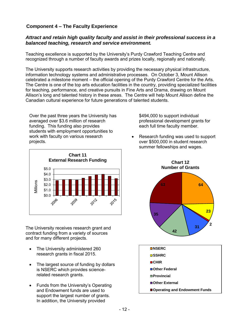# **Component 4 – The Faculty Experience**

## *Attract and retain high quality faculty and assist in their professional success in a balanced teaching, research and service environment.*

Teaching excellence is supported by the University's Purdy Crawford Teaching Centre and recognized through a number of faculty awards and prizes locally, regionally and nationally.

The University supports research activities by providing the necessary physical infrastructure, information technology systems and administrative processes. On October 3, Mount Allison celebrated a milestone moment – the official opening of the Purdy Crawford Centre for the Arts. The Centre is one of the top arts education facilities in the country, providing specialized facilities for teaching, performance, and creative pursuits in Fine Arts and Drama, drawing on Mount Allison's long and talented history in these areas. The Centre will help Mount Allison define the Canadian cultural experience for future generations of talented students.

Over the past three years the University has averaged over \$3.6 million of research funding. This funding also provides students with employment opportunities to work with faculty on various research projects.



The University receives research grant and contract funding from a variety of sources and for many different projects.

- The University administered 260 research grants in fiscal 2015.
- The largest source of funding by dollars is NSERC which provides sciencerelated research grants.
- Funds from the University's Operating and Endowment funds are used to support the largest number of grants. In addition, the University provided

\$494,000 to support individual professional development grants for each full time faculty member.

 Research funding was used to support over \$500,000 in student research summer fellowships and wages.



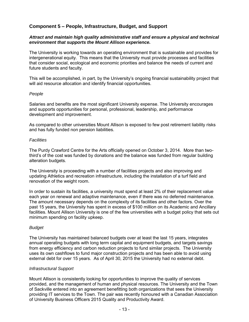# **Component 5 – People, Infrastructure, Budget, and Support**

#### *Attract and maintain high quality administrative staff and ensure a physical and technical environment that supports the Mount Allison experience.*

The University is working towards an operating environment that is sustainable and provides for intergenerational equity. This means that the University must provide processes and facilities that consider social, ecological and economic priorities and balance the needs of current and future students and faculty.

This will be accomplished, in part, by the University's ongoing financial sustainability project that will aid resource allocation and identify financial opportunities.

#### *People*

Salaries and benefits are the most significant University expense. The University encourages and supports opportunities for personal, professional, leadership, and performance development and improvement.

As compared to other universities Mount Allison is exposed to few post retirement liability risks and has fully funded non pension liabilities.

#### *Facilities*

The Purdy Crawford Centre for the Arts officially opened on October 3, 2014. More than twothird's of the cost was funded by donations and the balance was funded from regular building alteration budgets.

The University is proceeding with a number of facilities projects and also improving and updating Athletics and recreation infrastructure, including the installation of a turf field and renovation of the weight room.

In order to sustain its facilities, a university must spend at least 2% of their replacement value each year on renewal and adaptive maintenance, even if there was no deferred maintenance. The amount necessary depends on the complexity of its facilities and other factors. Over the past 15 years, the University has spent in excess of \$100 million on its Academic and Ancillary facilities. Mount Allison University is one of the few universities with a budget policy that sets out minimum spending on facility upkeep.

#### *Budget*

The University has maintained balanced budgets over at least the last 15 years, integrates annual operating budgets with long term capital and equipment budgets, and targets savings from energy efficiency and carbon reduction projects to fund similar projects. The University uses its own cashflows to fund major construction projects and has been able to avoid using external debt for over 15 years. As of April 30, 2015 the University had no external debt.

#### *Infrastructural Support*

Mount Allison is consistently looking for opportunities to improve the quality of services provided, and the management of human and physical resources. The University and the Town of Sackville entered into an agreement benefitting both organizations that sees the University providing IT services to the Town. The pair was recently honoured with a Canadian Association of University Business Officers 2015 Quality and Productivity Award.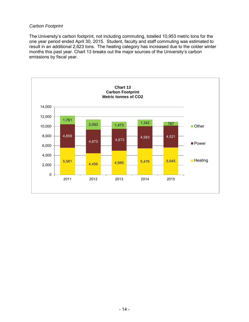#### *Carbon Footprint*

The University's carbon footprint, not including commuting, totalled 10,953 metric tons for the one year period ended April 30, 2015. Student, faculty and staff commuting was estimated to result in an additional 2,623 tons. The heating category has increased due to the colder winter months this past year. Chart 13 breaks out the major sources of the University's carbon emissions by fiscal year.

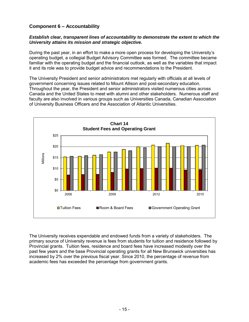# **Component 6 – Accountability**

#### *Establish clear, transparent lines of accountability to demonstrate the extent to which the University attains its mission and strategic objective.*

During the past year, in an effort to make a more open process for developing the University's operating budget, a collegial Budget Advisory Committee was formed. The committee became familiar with the operating budget and the financial outlook, as well as the variables that impact it and its role was to provide budget advice and recommendations to the President.

The University President and senior administrators met regularly with officials at all levels of government concerning issues related to Mount Allison and post-secondary education. Throughout the year, the President and senior administrators visited numerous cities across Canada and the United States to meet with alumni and other stakeholders. Numerous staff and faculty are also involved in various groups such as Universities Canada, Canadian Association of University Business Officers and the Association of Atlantic Universities.



The University receives expendable and endowed funds from a variety of stakeholders. The primary source of University revenue is fees from students for tuition and residence followed by Provincial grants. Tuition fees, residence and board fees have increased modestly over the past few years and the base Provincial operating grants for all New Brunswick universities has increased by 2% over the previous fiscal year. Since 2010, the percentage of revenue from academic fees has exceeded the percentage from government grants.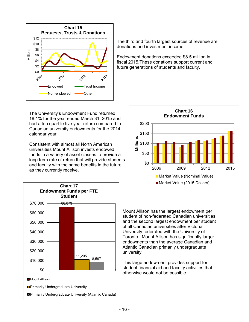

The University's Endowment Fund returned 18.1% for the year ended March 31, 2015 and had a top quartile five year return compared to Canadian university endowments for the 2014 calendar year.

Consistent with almost all North American universities Mount Allison invests endowed funds in a variety of asset classes to provide a long term rate of return that will provide students and faculty with the same benefits in the future as they currently receive.



The third and fourth largest sources of revenue are donations and investment income.

Endowment donations exceeded \$8.5 million in fiscal 2015.These donations support current and future generations of students and faculty.



Mount Allison has the largest endowment per student of non-federated Canadian universities and the second largest endowment per student of all Canadian universities after Victoria University federated with the University of Toronto. Mount Allison has significantly larger endowments than the average Canadian and Atlantic Canadian primarily undergraduate university.

This large endowment provides support for student financial aid and faculty activities that otherwise would not be possible.